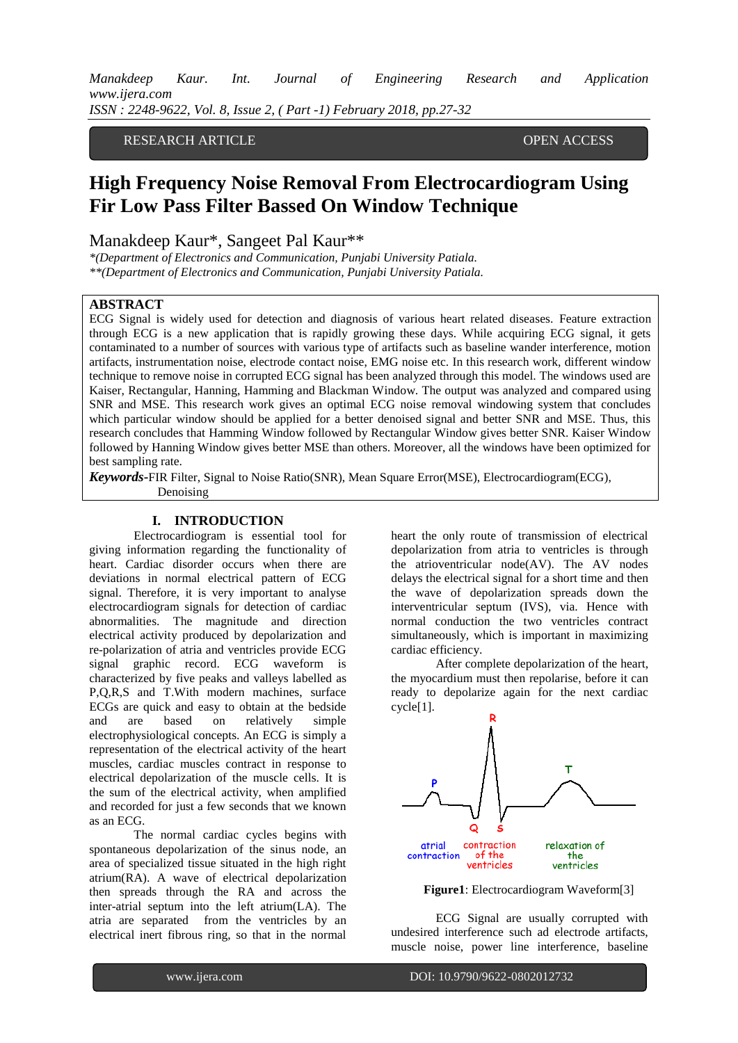RESEARCH ARTICLE **OPEN ACCESS** 

# **High Frequency Noise Removal From Electrocardiogram Using Fir Low Pass Filter Bassed On Window Technique**

Manakdeep Kaur\*, Sangeet Pal Kaur\*\*

*\*(Department of Electronics and Communication, Punjabi University Patiala.*

*\*\*(Department of Electronics and Communication, Punjabi University Patiala.*

## **ABSTRACT**

ECG Signal is widely used for detection and diagnosis of various heart related diseases. Feature extraction through ECG is a new application that is rapidly growing these days. While acquiring ECG signal, it gets contaminated to a number of sources with various type of artifacts such as baseline wander interference, motion artifacts, instrumentation noise, electrode contact noise, EMG noise etc. In this research work, different window technique to remove noise in corrupted ECG signal has been analyzed through this model. The windows used are Kaiser, Rectangular, Hanning, Hamming and Blackman Window. The output was analyzed and compared using SNR and MSE. This research work gives an optimal ECG noise removal windowing system that concludes which particular window should be applied for a better denoised signal and better SNR and MSE. Thus, this research concludes that Hamming Window followed by Rectangular Window gives better SNR. Kaiser Window followed by Hanning Window gives better MSE than others. Moreover, all the windows have been optimized for best sampling rate.

*Keywords***-**FIR Filter, Signal to Noise Ratio(SNR), Mean Square Error(MSE), Electrocardiogram(ECG), Denoising

**27**|P a g e

## **I. INTRODUCTION**

Electrocardiogram is essential tool for giving information regarding the functionality of heart. Cardiac disorder occurs when there are deviations in normal electrical pattern of ECG signal. Therefore, it is very important to analyse electrocardiogram signals for detection of cardiac abnormalities. The magnitude and direction electrical activity produced by depolarization and re-polarization of atria and ventricles provide ECG signal graphic record. ECG waveform is characterized by five peaks and valleys labelled as P,Q,R,S and T.With modern machines, surface ECGs are quick and easy to obtain at the bedside and are based on relatively simple electrophysiological concepts. An ECG is simply a representation of the electrical activity of the heart muscles, cardiac muscles contract in response to electrical depolarization of the muscle cells. It is the sum of the electrical activity, when amplified and recorded for just a few seconds that we known as an ECG.

The normal cardiac cycles begins with spontaneous depolarization of the sinus node, an area of specialized tissue situated in the high right atrium(RA). A wave of electrical depolarization then spreads through the RA and across the inter-atrial septum into the left atrium(LA). The atria are separated from the ventricles by an electrical inert fibrous ring, so that in the normal heart the only route of transmission of electrical depolarization from atria to ventricles is through the atrioventricular node(AV). The AV nodes delays the electrical signal for a short time and then the wave of depolarization spreads down the interventricular septum (IVS), via. Hence with normal conduction the two ventricles contract simultaneously, which is important in maximizing cardiac efficiency.

After complete depolarization of the heart, the myocardium must then repolarise, before it can ready to depolarize again for the next cardiac cycle[1].



**Figure1**: Electrocardiogram Waveform[3]

ECG Signal are usually corrupted with undesired interference such ad electrode artifacts, muscle noise, power line interference, baseline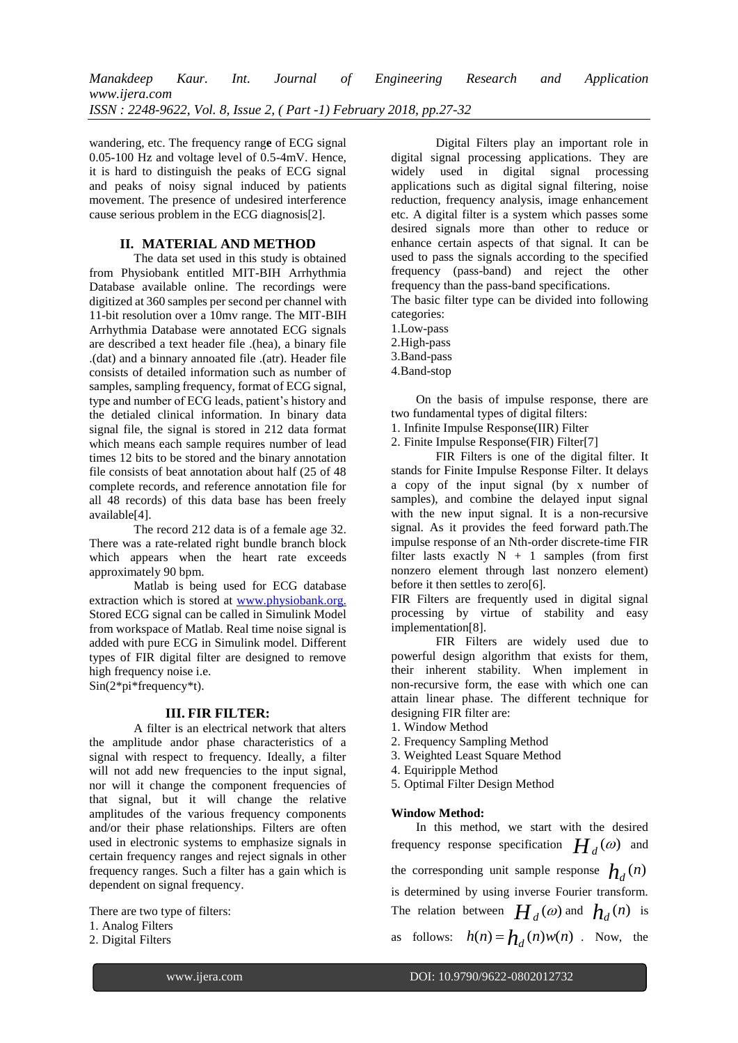wandering, etc. The frequency rang**e** of ECG signal 0.05-100 Hz and voltage level of  $0.5-4$ mV. Hence, it is hard to distinguish the peaks of ECG signal and peaks of noisy signal induced by patients movement. The presence of undesired interference cause serious problem in the ECG diagnosis[2].

# **II. MATERIAL AND METHOD**

The data set used in this study is obtained from Physiobank entitled MIT-BIH Arrhythmia Database available online. The recordings were digitized at 360 samples per second per channel with 11-bit resolution over a 10mv range. The MIT-BIH Arrhythmia Database were annotated ECG signals are described a text header file .(hea), a binary file .(dat) and a binnary annoated file .(atr). Header file consists of detailed information such as number of samples, sampling frequency, format of ECG signal, type and number of ECG leads, patient's history and the detialed clinical information. In binary data signal file, the signal is stored in 212 data format which means each sample requires number of lead times 12 bits to be stored and the binary annotation file consists of beat annotation about half (25 of 48 complete records, and reference annotation file for all 48 records) of this data base has been freely available[4].

The record 212 data is of a female age 32. There was a rate-related right bundle branch block which appears when the heart rate exceeds approximately 90 bpm.

Matlab is being used for ECG database extraction which is stored at [www.physiobank.org.](http://www.physiobank.org./) Stored ECG signal can be called in Simulink Model from workspace of Matlab. Real time noise signal is added with pure ECG in Simulink model. Different types of FIR digital filter are designed to remove high frequency noise i.e. Sin(2\*pi\*frequency\*t).

## **III. FIR FILTER:**

A filter is an electrical network that alters the amplitude andor phase characteristics of a signal with respect to frequency. Ideally, a filter will not add new frequencies to the input signal, nor will it change the component frequencies of that signal, but it will change the relative amplitudes of the various frequency components and/or their phase relationships. Filters are often used in electronic systems to emphasize signals in certain frequency ranges and reject signals in other frequency ranges. Such a filter has a gain which is dependent on signal frequency.

There are two type of filters: 1. Analog Filters

2. Digital Filters

Digital Filters play an important role in digital signal processing applications. They are widely used in digital signal processing applications such as digital signal filtering, noise reduction, frequency analysis, image enhancement etc. A digital filter is a system which passes some desired signals more than other to reduce or enhance certain aspects of that signal. It can be used to pass the signals according to the specified frequency (pass-band) and reject the other frequency than the pass-band specifications.

The basic filter type can be divided into following categories:

- 1.Low-pass
- 2.High-pass
- 3.Band-pass
- 4.Band-stop

On the basis of impulse response, there are two fundamental types of digital filters:

1. Infinite Impulse Response(IIR) Filter

2. Finite Impulse Response(FIR) Filter[7]

FIR Filters is one of the digital filter. It stands for Finite Impulse Response Filter. It delays a copy of the input signal (by x number of samples), and combine the delayed input signal with the new input signal. It is a non-recursive signal. As it provides the feed forward path.The impulse response of an Nth-order discrete-time FIR filter lasts exactly  $N + 1$  samples (from first nonzero element through last nonzero element) before it then settles to zero[6].

FIR Filters are frequently used in digital signal processing by virtue of stability and easy implementation[8].

FIR Filters are widely used due to powerful design algorithm that exists for them, their inherent stability. When implement in non-recursive form, the ease with which one can attain linear phase. The different technique for designing FIR filter are:

- 1. Window Method
- 2. Frequency Sampling Method
- 3. Weighted Least Square Method
- 4. Equiripple Method
- 5. Optimal Filter Design Method

# **Window Method:**

**28**|P a g e

In this method, we start with the desired frequency response specification  $H_d(\omega)$  and the corresponding unit sample response  $h_d(n)$ is determined by using inverse Fourier transform. The relation between  $H_d(\omega)$  and  $h_d(n)$  is as follows:  $h(n) = h_d(n)w(n)$ . Now, the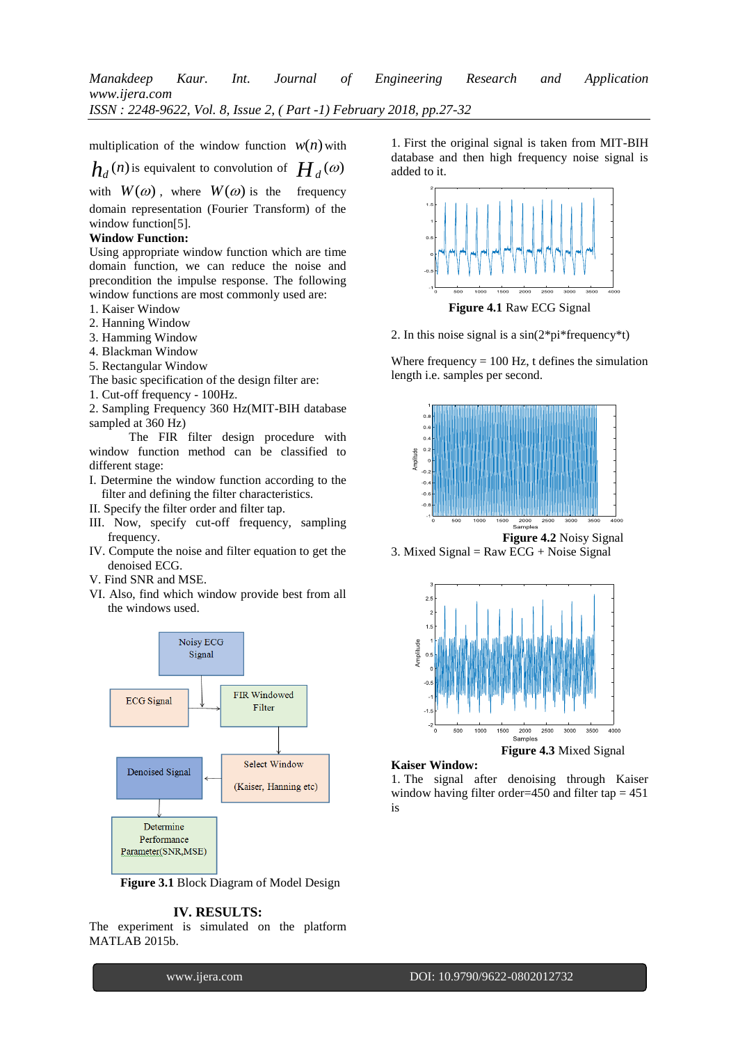multiplication of the window function  $w(n)$  with

 $h_d$  (*n*) is equivalent to convolution of  $H_d(\omega)$ 

with  $W(\omega)$ , where  $W(\omega)$  is the frequency domain representation (Fourier Transform) of the window function[5].

# **Window Function:**

Using appropriate window function which are time domain function, we can reduce the noise and precondition the impulse response. The following window functions are most commonly used are:

- 1. Kaiser Window
- 2. Hanning Window
- 3. Hamming Window
- 4. Blackman Window
- 5. Rectangular Window

The basic specification of the design filter are:

1. Cut-off frequency - 100Hz.

2. Sampling Frequency 360 Hz(MIT-BIH database sampled at 360 Hz)

The FIR filter design procedure with window function method can be classified to different stage:

- I. Determine the window function according to the filter and defining the filter characteristics.
- II. Specify the filter order and filter tap.
- III. Now, specify cut-off frequency, sampling frequency.
- IV. Compute the noise and filter equation to get the denoised ECG.
- V. Find SNR and MSE.
- VI. Also, find which window provide best from all the windows used.



**Figure 3.1** Block Diagram of Model Design

## **IV. RESULTS:**

The experiment is simulated on the platform MATLAB 2015b.

1. First the original signal is taken from MIT-BIH database and then high frequency noise signal is added to it.



**Figure 4.1** Raw ECG Signal

2. In this noise signal is a  $sin(2<sup>*</sup>pi*frequency<sup>*</sup>t)$ 

Where frequency  $= 100$  Hz, t defines the simulation length i.e. samples per second.



**Figure 4.2** Noisy Signal 3. Mixed Signal =  $Raw ECG + Noise Signal$ 



#### **Kaiser Window:**

**29**|P a g e

1. The signal after denoising through Kaiser window having filter order=450 and filter tap  $= 451$ is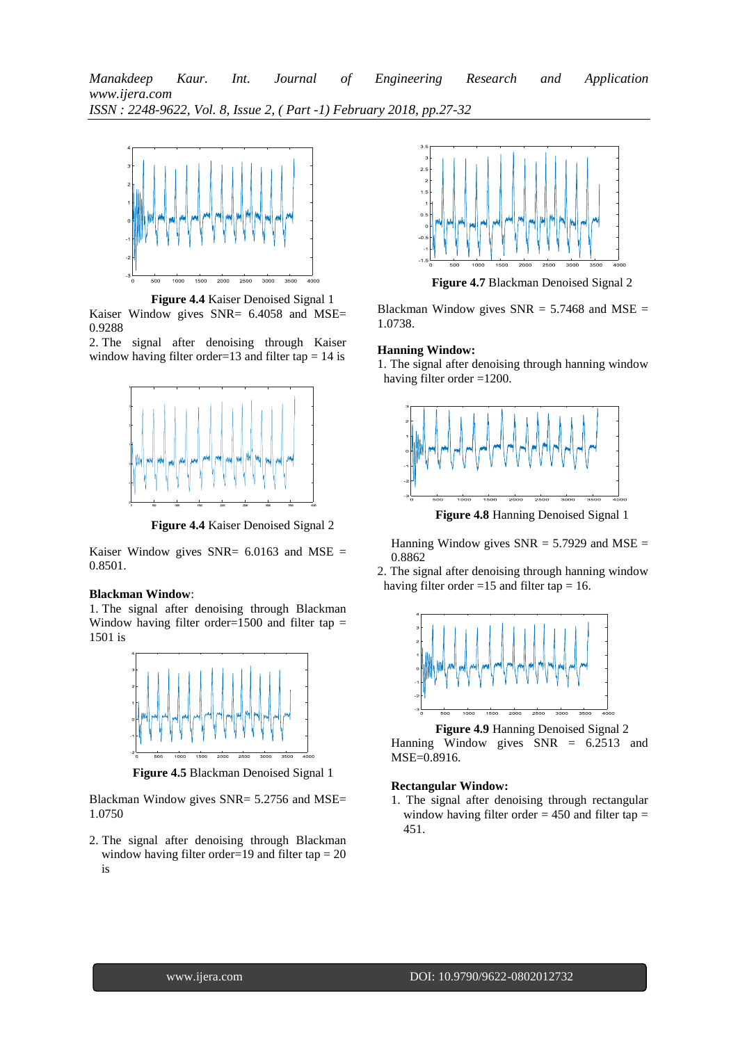

**Figure 4.4** Kaiser Denoised Signal 1 Kaiser Window gives SNR= 6.4058 and MSE= 0.9288

2. The signal after denoising through Kaiser window having filter order=13 and filter tap  $= 14$  is



**Figure 4.4** Kaiser Denoised Signal 2

Kaiser Window gives SNR=  $6.0163$  and MSE = 0.8501.

## **Blackman Window**:

1. The signal after denoising through Blackman Window having filter order=1500 and filter tap  $=$ 1501 is



**Figure 4.5** Blackman Denoised Signal 1

Blackman Window gives SNR= 5.2756 and MSE= 1.0750

2. The signal after denoising through Blackman window having filter order=19 and filter tap  $= 20$ is



**Figure 4.7** Blackman Denoised Signal 2

Blackman Window gives  $SNR = 5.7468$  and  $MSE =$ 1.0738.

#### **Hanning Window:**

1. The signal after denoising through hanning window having filter order =1200.



**Figure 4.8** Hanning Denoised Signal 1

Hanning Window gives  $SNR = 5.7929$  and  $MSE =$ 0.8862

2. The signal after denoising through hanning window having filter order  $=15$  and filter tap  $= 16$ .



**Figure 4.9** Hanning Denoised Signal 2 Hanning Window gives  $SNR = 6.2513$  and MSE=0.8916.

# **Rectangular Window:**

**30**|P a g e

1. The signal after denoising through rectangular window having filter order  $= 450$  and filter tap  $=$ 451.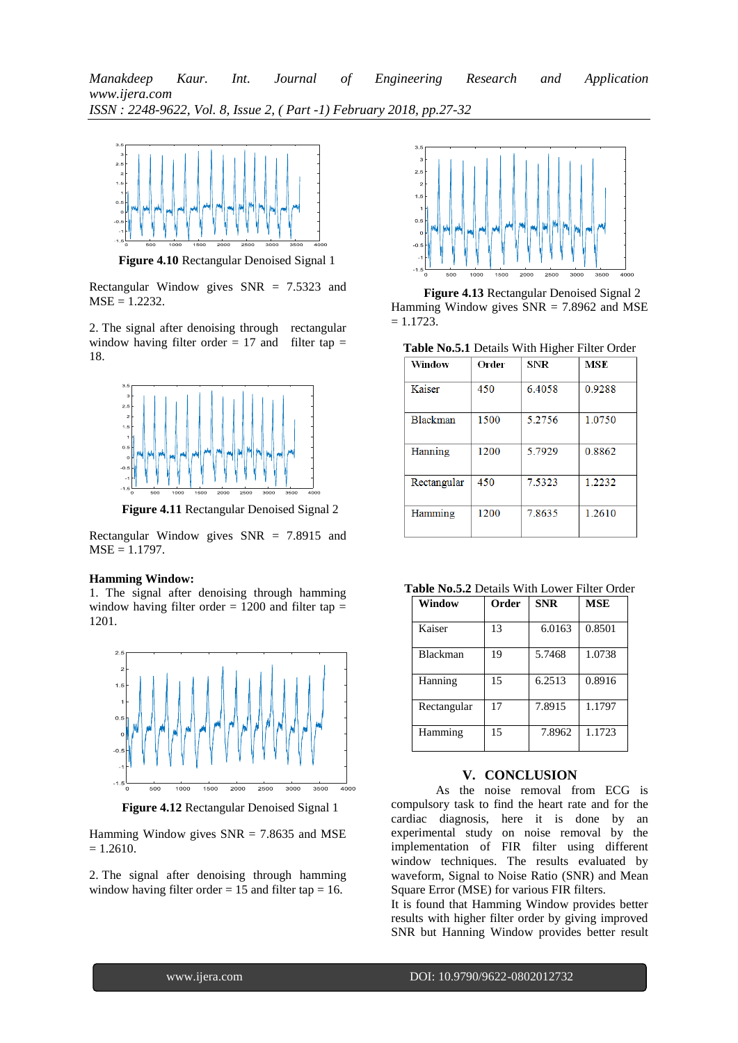

**Figure 4.10** Rectangular Denoised Signal 1

Rectangular Window gives SNR = 7.5323 and  $MSE = 1.2232$ .

2. The signal after denoising through rectangular window having filter order  $= 17$  and filter tap  $=$ 18.



**Figure 4.11** Rectangular Denoised Signal 2

Rectangular Window gives  $SNR = 7.8915$  and  $MSE = 1.1797$ .

### **Hamming Window:**

1. The signal after denoising through hamming window having filter order  $= 1200$  and filter tap  $=$ 1201.



**Figure 4.12** Rectangular Denoised Signal 1

Hamming Window gives  $SNR = 7.8635$  and MSE  $= 1.2610$ .

2. The signal after denoising through hamming window having filter order  $= 15$  and filter tap  $= 16$ .



**Figure 4.13** Rectangular Denoised Signal 2 Hamming Window gives  $SNR = 7.8962$  and MSE  $= 1.1723.$ 

**Table No.5.1** Details With Higher Filter Order

| Window          | Order | SNR    | <b>MSE</b> |
|-----------------|-------|--------|------------|
| Kaiser          | 450   | 6.4058 | 0.9288     |
| <b>Blackman</b> | 1500  | 5.2756 | 1.0750     |
| Hanning         | 1200  | 5.7929 | 0.8862     |
| Rectangular     | 450   | 7.5323 | 1.2232     |
| Hamming         | 1200  | 7.8635 | 1.2610     |

| Window          | Order | <b>SNR</b> | <b>MSE</b> |
|-----------------|-------|------------|------------|
| Kaiser          | 13    | 6.0163     | 0.8501     |
| <b>Blackman</b> | 19    | 5.7468     | 1.0738     |
| Hanning         | 15    | 6.2513     | 0.8916     |
| Rectangular     | 17    | 7.8915     | 1.1797     |
| Hamming         | 15    | 7.8962     | 1.1723     |

## **V. CONCLUSION**

As the noise removal from ECG is compulsory task to find the heart rate and for the cardiac diagnosis, here it is done by an experimental study on noise removal by the implementation of FIR filter using different window techniques. The results evaluated by waveform, Signal to Noise Ratio (SNR) and Mean Square Error (MSE) for various FIR filters.

It is found that Hamming Window provides better results with higher filter order by giving improved SNR but Hanning Window provides better result

**31**|P a g e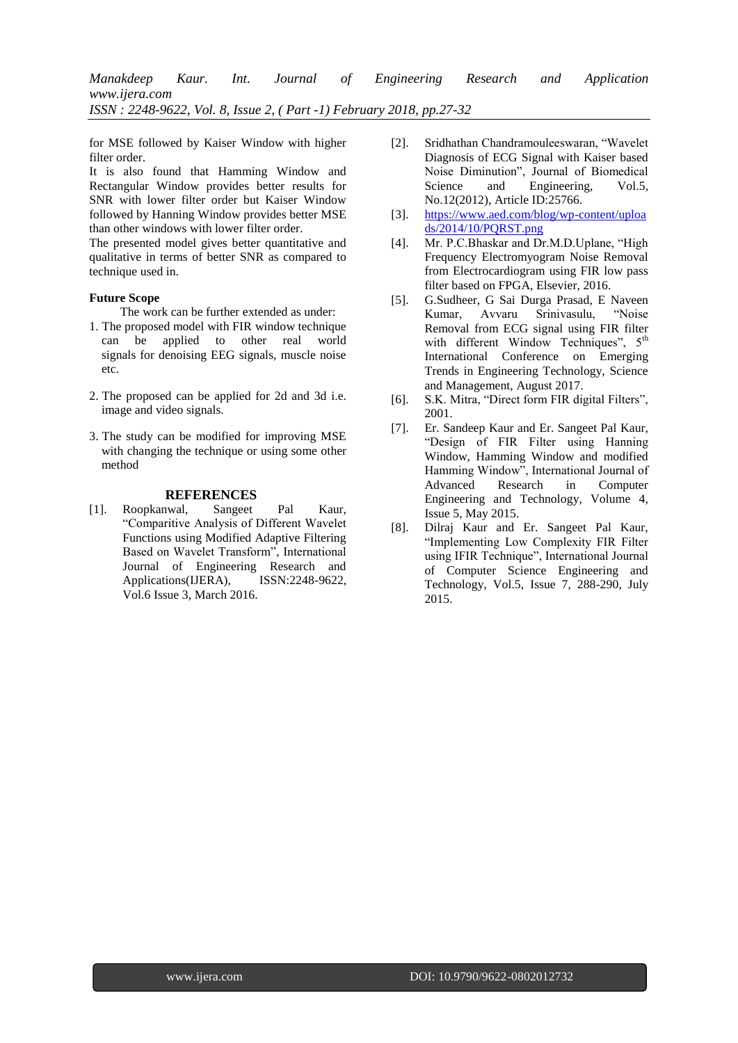for MSE followed by Kaiser Window with higher filter order.

It is also found that Hamming Window and Rectangular Window provides better results for SNR with lower filter order but Kaiser Window followed by Hanning Window provides better MSE than other windows with lower filter order.

The presented model gives better quantitative and qualitative in terms of better SNR as compared to technique used in.

## **Future Scope**

The work can be further extended as under:

- 1. The proposed model with FIR window technique can be applied to other real world signals for denoising EEG signals, muscle noise etc.
- 2. The proposed can be applied for 2d and 3d i.e. image and video signals.
- 3. The study can be modified for improving MSE with changing the technique or using some other method

## **REFERENCES**

[1]. Roopkanwal, Sangeet Pal Kaur, "Comparitive Analysis of Different Wavelet Functions using Modified Adaptive Filtering Based on Wavelet Transform", International Journal of Engineering Research and Applications(IJERA), ISSN:2248-9622, Vol.6 Issue 3, March 2016.

- [2]. Sridhathan Chandramouleeswaran, "Wavelet Diagnosis of ECG Signal with Kaiser based Noise Diminution", Journal of Biomedical Science and Engineering, Vol.5, No.12(2012), Article ID:25766.
- [3]. [https://www.aed.com/blog/wp-content/uploa](https://www.aed.com/blog/wp-content/uploads/2014/10/PQRST.png) [ds/2014/10/PQRST.png](https://www.aed.com/blog/wp-content/uploads/2014/10/PQRST.png)
- [4]. Mr. P.C.Bhaskar and Dr.M.D.Uplane, "High Frequency Electromyogram Noise Removal from Electrocardiogram using FIR low pass filter based on FPGA, Elsevier, 2016.
- [5]. G.Sudheer, G Sai Durga Prasad, E Naveen Kumar, Avvaru Srinivasulu, "Noise Removal from ECG signal using FIR filter with different Window Techniques",  $5<sup>th</sup>$ International Conference on Emerging Trends in Engineering Technology, Science and Management, August 2017.
- [6]. S.K. Mitra, "Direct form FIR digital Filters", 2001.
- [7]. Er. Sandeep Kaur and Er. Sangeet Pal Kaur, "Design of FIR Filter using Hanning Window, Hamming Window and modified Hamming Window", International Journal of Advanced Research in Computer Engineering and Technology, Volume 4, Issue 5, May 2015.
- [8]. Dilraj Kaur and Er. Sangeet Pal Kaur, "Implementing Low Complexity FIR Filter using IFIR Technique", International Journal of Computer Science Engineering and Technology, Vol.5, Issue 7, 288-290, July 2015.

**32**|P a g e